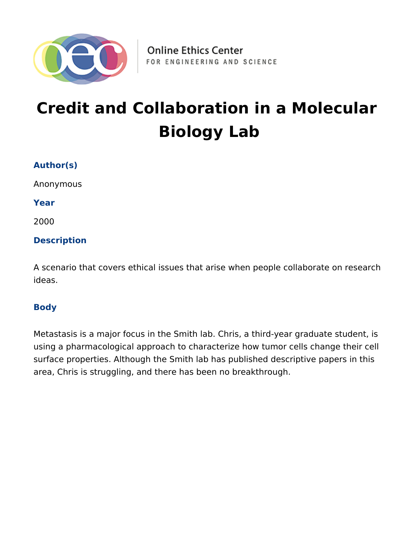

# **Credit and Collaboration in a Molecular Biology Lab**

# **Author(s)**

Anonymous

**Year**

2000

#### **Description**

A scenario that covers ethical issues that arise when people collaborate on research ideas.

#### **Body**

Metastasis is a major focus in the Smith lab. Chris, a third-year graduate student, is using a pharmacological approach to characterize how tumor cells change their cell surface properties. Although the Smith lab has published descriptive papers in this area, Chris is struggling, and there has been no breakthrough.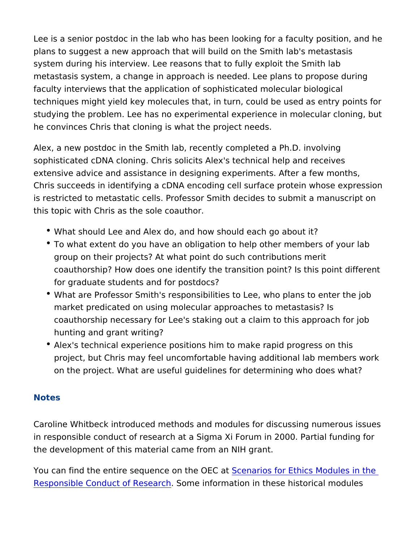Lee is a senior postdoc in the lab who has been looking for a fac plans to suggest a new approach that will build on the Smith lab's system during his interview. Lee reasons that to fully exploit the metastasis system, a change in approach is needed. Lee plans to faculty interviews that the application of sophisticated molecular techniques might yield key molecules that, in turn, could be used studying the problem. Lee has no experimental experience in mole he convinces Chris that cloning is what the project needs.

Alex, a new postdoc in the Smith lab, recently completed a Ph.D. sophisticated cDNA cloning. Chris solicits Alex's technical help a extensive advice and assistance in designing experiments. After a Chris succeeds in identifying a cDNA encoding cell surface protein is restricted to metastatic cells. Professor Smith decides to subm this topic with Chris as the sole coauthor.

- What should Lee and Alex do, and how should each go about it?
- \* To what extent do you have an obligation to help other membe group on their projects? At what point do such contributions m coauthorship? How does one identify the transition point? Is t for graduate students and for postdocs?
- \* What are Professor Smith's responsibilities to Lee, who plans market predicated on using molecular approaches to metastas coauthorship necessary for Lee's staking out a claim to this a hunting and grant writing?
- Alex's technical experience positions him to make rapid progr project, but Chris may feel uncomfortable having additional la on the project. What are useful guidelines for determining who

#### Notes

Caroline Whitbeck introduced methods and modules for discussing in responsible conduct of research at a Sigma Xi Forum in 2000. the development of this material came from an NIH grant.

You can find the entire sequence  $\delta$ netherios Coart Ethics Modules in [Responsible Conduct of](https://onlineethics.org/taxonomy/term/1796) RSecsmerch formation in these historical mod